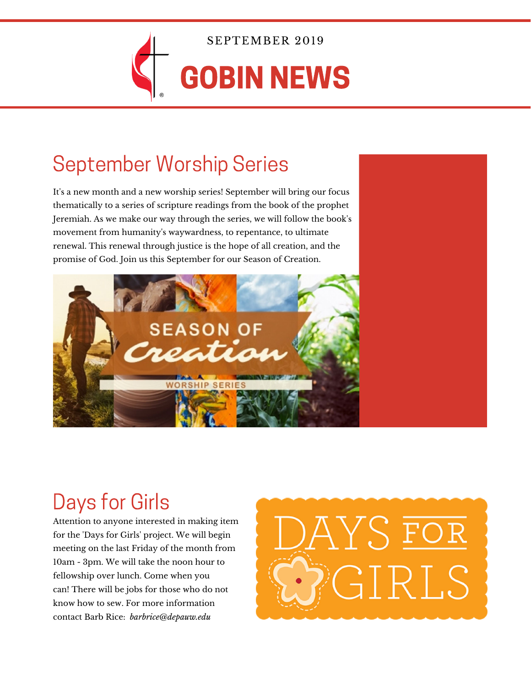

SEPTEMBER 2019

# GOBIN NEWS

## September Worship Series

It's a new month and a new worship series! September will bring our focus thematically to a series of scripture readings from the book of the prophet Jeremiah. As we make our way through the series, we will follow the book's movement from humanity's waywardness, to repentance, to ultimate renewal. This renewal through justice is the hope of all creation, and the promise of God. Join us this September for our Season of Creation.



# Days for Girls

Attention to anyone interested in making item for the 'Days for Girls' project. We will begin meeting on the last Friday of the month from 10am - 3pm. We will take the noon hour to fellowship over lunch. Come when you can! There will be jobs for those who do not know how to sew. For more information contact Barb Rice: *barbrice@depauw.edu*